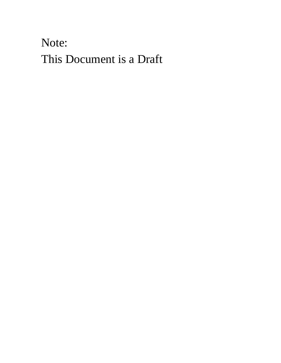Note: This Document is a Draft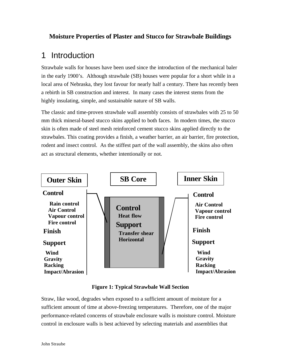## **Moisture Properties of Plaster and Stucco for Strawbale Buildings**

## 1 Introduction

Strawbale walls for houses have been used since the introduction of the mechanical baler in the early 1900's. Although strawbale (SB) houses were popular for a short while in a local area of Nebraska, they lost favour for nearly half a century. There has recently been a rebirth in SB construction and interest. In many cases the interest stems from the highly insulating, simple, and sustainable nature of SB walls.

The classic and time-proven strawbale wall assembly consists of strawbales with 25 to 50 mm thick mineral-based stucco skins applied to both faces. In modern times, the stucco skin is often made of steel mesh reinforced cement stucco skins applied directly to the strawbales. This coating provides a finish, a weather barrier, an air barrier, fire protection, rodent and insect control. As the stiffest part of the wall assembly, the skins also often act as structural elements, whether intentionally or not.



**Figure 1: Typical Strawbale Wall Section**

Straw, like wood, degrades when exposed to a sufficient amount of moisture for a sufficient amount of time at above-freezing temperatures. Therefore, one of the major performance-related concerns of strawbale enclosure walls is moisture control. Moisture control in enclosure walls is best achieved by selecting materials and assemblies that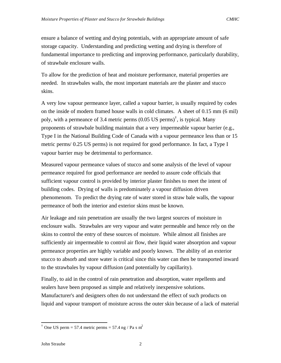ensure a balance of wetting and drying potentials, with an appropriate amount of safe storage capacity. Understanding and predicting wetting and drying is therefore of fundamental importance to predicting and improving performance, particularly durability, of strawbale enclosure walls.

To allow for the prediction of heat and moisture performance, material properties are needed. In strawbales walls, the most important materials are the plaster and stucco skins.

A very low vapour permeance layer, called a vapour barrier, is usually required by codes on the inside of modern framed house walls in cold climates. A sheet of 0.15 mm (6 mil) poly, with a permeance of 3.4 metric perms (0.05 US perms)† , is typical. Many proponents of strawbale building maintain that a very impermeable vapour barrier (e.g., Type I in the National Building Code of Canada with a vapour permeance less than or 15 metric perms/ 0.25 US perms) is not required for good performance. In fact, a Type I vapour barrier may be detrimental to performance.

Measured vapour permeance values of stucco and some analysis of the level of vapour permeance required for good performance are needed to assure code officials that sufficient vapour control is provided by interior plaster finishes to meet the intent of building codes. Drying of walls is predominately a vapour diffusion driven phenomenom. To predict the drying rate of water stored in straw bale walls, the vapour permeance of both the interior and exterior skins must be known.

Air leakage and rain penetration are usually the two largest sources of moisture in enclosure walls. Strawbales are very vapour and water permeable and hence rely on the skins to control the entry of these sources of moisture. While almost all finishes are sufficiently air impermeable to control air flow, their liquid water absorption and vapour permeance properties are highly variable and poorly known. The ability of an exterior stucco to absorb and store water is critical since this water can then be transported inward to the strawbales by vapour diffusion (and potentially by capillarity).

Finally, to aid in the control of rain penetration and absorption, water repellents and sealers have been proposed as simple and relatively inexpensive solutions. Manufacturer's and designers often do not understand the effect of such products on liquid and vapour transport of moisture across the outer skin because of a lack of material

l

<sup>&</sup>lt;sup>†</sup> One US perm = 57.4 metric perms = 57.4 ng / Pa s m<sup>2</sup>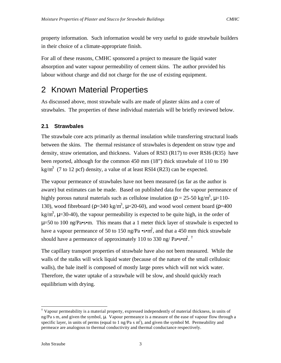property information. Such information would be very useful to guide strawbale builders in their choice of a climate-appropriate finish.

For all of these reasons, CMHC sponsored a project to measure the liquid water absorption and water vapour permeability of cement skins. The author provided his labour without charge and did not charge for the use of existing equipment.

# 2 Known Material Properties

As discussed above, most strawbale walls are made of plaster skins and a core of strawbales. The properties of these individual materials will be briefly reviewed below.

## **2.1 Strawbales**

The strawbale core acts primarily as thermal insulation while transferring structural loads between the skins. The thermal resistance of strawbales is dependent on straw type and density, straw orientation, and thickness. Values of RSI3 (R17) to over RSI6 (R35) have been reported, although for the common 450 mm (18") thick strawbale of 110 to 190 kg/m<sup>3</sup> (7 to 12 pcf) density, a value of at least RSI4 (R23) can be expected.

The vapour permeance of strawbales have not been measured (as far as the author is aware) but estimates can be made. Based on published data for the vapour permeance of highly porous natural materials such as cellulose insulation ( $\rho = 25-50 \text{ kg/m}^3$ ,  $\mu=110$ -130), wood fibreboard ( $p=340 \text{ kg/m}^3$ ,  $\mu=20-60$ ), and wood wool cement board ( $p=400$ kg/m<sup>3</sup>,  $\mu$ =30-40), the vapour permeability is expected to be quite high, in the order of  $\mu$ =50 to 100 ng/Pa•s•m. This means that a 1 meter thick layer of strawbale is expected to have a vapour permeance of 50 to 150 ng/Pa  $\cdot$ s $\cdot$ m<sup>2</sup>, and that a 450 mm thick strawbale should have a permeance of approximately 110 to 330 ng/  $Pa \cdot s \cdot m^2$ .

The capillary transport properties of strawbale have also not been measured. While the walls of the stalks will wick liquid water (because of the nature of the small cellulosic walls), the bale itself is composed of mostly large pores which will not wick water. Therefore, the water uptake of a strawbale will be slow, and should quickly reach equilibrium with drying.

l

<sup>†</sup> Vapour permeability is a material property, expressed independently of material thickness, in units of ng/Pa s m, and given the symbol, μ. Vapour permeance is a measure of the ease of vapour flow through a specific layer, in units of perms (equal to 1 ng/Pa s  $m^2$ ), and given the symbol M. Permeability and permeace are analogous to thermal conductivity and thermal conductance respectively.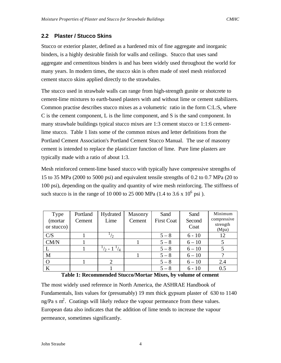## **2.2 Plaster / Stucco Skins**

Stucco or exterior plaster, defined as a hardened mix of fine aggregate and inorganic binders, is a highly desirable finish for walls and ceilings. Stucco that uses sand aggregate and cementitous binders is and has been widely used throughout the world for many years. In modern times, the stucco skin is often made of steel mesh reinforced cement stucco skins applied directly to the strawbales.

The stucco used in strawbale walls can range from high-strength gunite or shotcrete to cement-lime mixtures to earth-based plasters with and without lime or cement stabilizers. Common practise describes stucco mixes as a volumetric ratio in the form C:L:S, where C is the cement component, L is the lime component, and S is the sand component. In many strawbale buildings typical stucco mixes are 1:3 cement stucco or 1:1:6 cementlime stucco. Table 1 lists some of the common mixes and letter definitions from the Portland Cement Association's Portland Cement Stucco Manual. The use of masonry cement is intended to replace the plasticizer function of lime. Pure lime plasters are typically made with a ratio of about 1:3.

Mesh reinforced cement-lime based stucco with typically have compressive strengths of 15 to 35 MPa (2000 to 5000 psi) and equivalent tensile strengths of 0.2 to 0.7 MPa (20 to 100 psi), depending on the quality and quantity of wire mesh reinforcing. The stiffness of such stucco is in the range of 10 000 to 25 000 MPa  $(1.4 \text{ to } 3.6 \text{ x } 10^6 \text{ psi})$ .

| Type       | Portland | Hydrated                        | Masonry | Sand              | Sand     | Minimum           |
|------------|----------|---------------------------------|---------|-------------------|----------|-------------------|
| (mortar    | Cement   | Lime                            | Cement  | <b>First Coat</b> | Second   | compressive       |
| or stucco) |          |                                 |         |                   | Coat     | strength<br>(Mpa) |
| C/S        |          | $^{1}/_{2}$                     |         | $5 - 8$           | $6 - 10$ | 12                |
| CM/N       |          |                                 |         | $5 - 8$           | $6 - 10$ |                   |
|            |          | $\frac{1}{2}$ - 1 $\frac{1}{4}$ |         | $5 - 8$           | $6 - 10$ |                   |
| M          |          |                                 |         | $5 - 8$           | $6 - 10$ |                   |
|            |          |                                 |         | $5 - 8$           | $6 - 10$ | 2.4               |
| $\bf K$    |          |                                 |         | $5 - 8$           | $6 - 10$ | 0.5               |

| CM/N                                                          |  |  |  | $5 - 8$ | $6 - 10$ |     |
|---------------------------------------------------------------|--|--|--|---------|----------|-----|
| L                                                             |  |  |  | $5 - 8$ | $6 - 10$ |     |
| M                                                             |  |  |  | $5 - 8$ | $6 - 10$ |     |
| Ο                                                             |  |  |  | $5 - 8$ | $6 - 10$ | 2.4 |
| K                                                             |  |  |  | $5 - 8$ | $6 - 10$ |     |
| Table 1: Recommended Stucco/Mortar Mixes, by volume of cement |  |  |  |         |          |     |

The most widely used reference in North America, the ASHRAE Handbook of Fundamentals, lists values for (presumably) 19 mm thick gypsum plaster of 630 to 1140 ng/Pa s  $m^2$ . Coatings will likely reduce the vapour permeance from these values. European data also indicates that the addition of lime tends to increase the vapour permeance, sometimes significantly.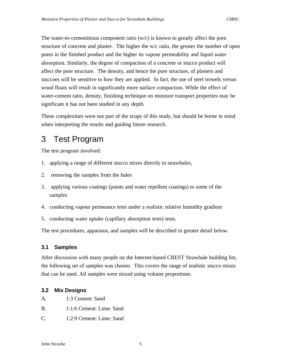The water-to-cementitious component ratio  $(w/c)$  is known to greatly affect the pore structure of concrete and plaster. The higher the w/c ratio, the greater the number of open pores in the finished product and the higher its vapour permeability and liquid water absorption. Similarly, the degree of compaction of a concrete or stucco product will affect the pore structure. The density, and hence the pore structure, of plasters and stuccoes will be sensitive to how they are applied. In fact, the use of steel trowels versus wood floats will result in significantly more surface compaction. While the effect of water-cement ratio, density, finishing technique on moisture transport properties may be significant it has not been studied in any depth.

These complexities were not part of the scope of this study, but should be borne in mind when interpreting the results and guiding future research.

## 3 Test Program

The test program involved:

- 1. applying a range of different stucco mixes directly to strawbales,
- 2. removing the samples from the bales
- 3. applying various coatings (paints and water repellent coatings) to some of the samples
- 4. conducting vapour permeance tests under a realistic relative humidity gradient
- 5. conducting water uptake (capillary absorption tests) tests.

The test procedures, apparatus, and samples will be described in greater detail below.

## **3.1 Samples**

After discussion with many people on the Internet-based CREST Strawbale building list, the following set of samples was chosen. This covers the range of realistic stucco mixes that can be used. All samples were mixed using volume proportions.

## **3.2 Mix Designs**

- A. 1:3 Cement: Sand
- B. 1:1:6 Cement: Lime: Sand
- C. 1:2:9 Cement: Lime: Sand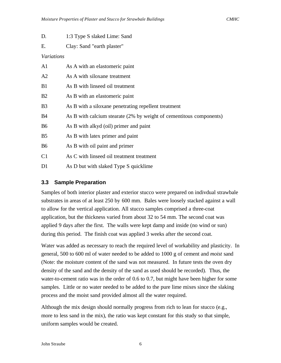| D.             | 1:3 Type S slaked Lime: Sand                                        |  |  |  |  |
|----------------|---------------------------------------------------------------------|--|--|--|--|
| Ε.             | Clay: Sand "earth plaster"                                          |  |  |  |  |
| Variations     |                                                                     |  |  |  |  |
| A1             | As A with an elastomeric paint                                      |  |  |  |  |
| A2             | As A with siloxane treatment                                        |  |  |  |  |
| B1             | As B with linseed oil treatment                                     |  |  |  |  |
| B2             | As B with an elastomeric paint                                      |  |  |  |  |
| B <sub>3</sub> | As B with a siloxane penetrating repellent treatment                |  |  |  |  |
| <b>B</b> 4     | As B with calcium stearate (2% by weight of cementitous components) |  |  |  |  |
| <b>B6</b>      | As B with alkyd (oil) primer and paint                              |  |  |  |  |
| B <sub>5</sub> | As B with latex primer and paint                                    |  |  |  |  |
| <b>B6</b>      | As B with oil paint and primer                                      |  |  |  |  |
| C <sub>1</sub> | As C with linseed oil treatment treatment                           |  |  |  |  |
| D1             | As D but with slaked Type S quicklime                               |  |  |  |  |

## **3.3 Sample Preparation**

Samples of both interior plaster and exterior stucco were prepared on indivdual strawbale substrates in areas of at least 250 by 600 mm. Bales were loosely stacked against a wall to allow for the vertical application. All stucco samples comprised a three-coat application, but the thickness varied from about 32 to 54 mm. The second coat was applied 9 days after the first. The walls were kept damp and inside (no wind or sun) during this period. The finish coat was applied 3 weeks after the second coat.

Water was added as necessary to reach the required level of workability and plasticity. In general, 500 to 600 ml of water needed to be added to 1000 g of cement and *moist* sand (Note: the moisture content of the sand was not measured. In future tests the oven dry density of the sand and the density of the sand as used should be recorded). Thus, the water-to-cement ratio was in the order of 0.6 to 0.7, but might have been higher for some samples. Little or no water needed to be added to the pure lime mixes since the slaking process and the moist sand provided almost all the water required.

Although the mix design should normally progress from rich to lean for stucco (e.g., more to less sand in the mix), the ratio was kept constant for this study so that simple, uniform samples would be created.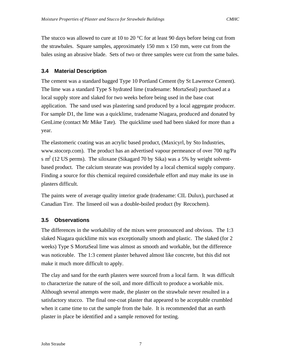The stucco was allowed to cure at 10 to 20  $^{\circ}$ C for at least 90 days before being cut from the strawbales. Square samples, approximately 150 mm x 150 mm, were cut from the bales using an abrasive blade. Sets of two or three samples were cut from the same bales.

## **3.4 Material Description**

The cement was a standard bagged Type 10 Portland Cement (by St Lawrence Cement). The lime was a standard Type S hydrated lime (tradename: MortaSeal) purchased at a local supply store and slaked for two weeks before being used in the base coat application. The sand used was plastering sand produced by a local aggregate producer. For sample D1, the lime was a quicklime, tradename Niagara, produced and donated by GenLime (contact Mr Mike Tate). The quicklime used had been slaked for more than a year.

The elastomeric coating was an acrylic based product, (Maxicyrl, by Sto Industries, www.stocorp.com). The product has an advertised vapour permeance of over 700 ng/Pa s  $m<sup>2</sup>$  (12 US perms). The siloxane (Sikagard 70 by Sika) was a 5% by weight solventbased product. The calcium stearate was provided by a local chemical supply company. Finding a source for this chemical required considerbale effort and may make its use in plasters difficult.

The paints were of average quality interior grade (tradename: CIL Dulux), purchased at Canadian Tire. The linseed oil was a double-boiled product (by Recochem).

## **3.5 Observations**

The differences in the workability of the mixes were pronounced and obvious. The 1:3 slaked Niagara quicklime mix was exceptionally smooth and plastic. The slaked (for 2 weeks) Type S MortaSeal lime was almost as smooth and workable, but the difference was noticeable. The 1:3 cement plaster behaved almost like concrete, but this did not make it much more difficult to apply.

The clay and sand for the earth plasters were sourced from a local farm. It was difficult to characterize the nature of the soil, and more difficult to produce a workable mix. Although several attempts were made, the plaster on the strawbale never resulted in a satisfactory stucco. The final one-coat plaster that appeared to be acceptable crumbled when it came time to cut the sample from the bale. It is recommended that an earth plaster in place be identified and a sample removed for testing.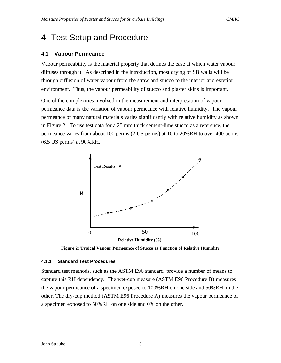## 4 Test Setup and Procedure

#### **4.1 Vapour Permeance**

Vapour permeability is the material property that defines the ease at which water vapour diffuses through it. As described in the introduction, most drying of SB walls will be through diffusion of water vapour from the straw and stucco to the interior and exterior environment. Thus, the vapour permeability of stucco and plaster skins is important.

One of the complexities involved in the measurement and interpretation of vapour permeance data is the variation of vapour permeance with relative humidity. The vapour permeance of many natural materials varies significantly with relative humidity as shown in Figure 2. To use test data for a 25 mm thick cement-lime stucco as a reference, the permeance varies from about 100 perms (2 US perms) at 10 to 20%RH to over 400 perms (6.5 US perms) at 90%RH.



**Figure 2: Typical Vapour Permeance of Stucco as Function of Relative Humidity**

#### **4.1.1 Standard Test Procedures**

Standard test methods, such as the ASTM E96 standard, provide a number of means to capture this RH dependency. The wet-cup measure (ASTM E96 Procedure B) measures the vapour permeance of a specimen exposed to 100%RH on one side and 50%RH on the other. The dry-cup method (ASTM E96 Procedure A) measures the vapour permeance of a specimen exposed to 50%RH on one side and 0% on the other.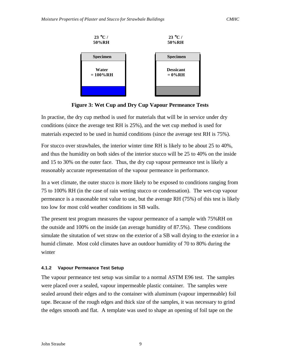

**Figure 3: Wet Cup and Dry Cup Vapour Permeance Tests**

In practise, the dry cup method is used for materials that will be in service under dry conditions (since the average test RH is 25%), and the wet cup method is used for materials expected to be used in humid conditions (since the average test RH is 75%).

For stucco over strawbales, the interior winter time RH is likely to be about 25 to 40%, and thus the humidity on both sides of the interior stucco will be 25 to 40% on the inside and 15 to 30% on the outer face. Thus, the dry cup vapour permeance test is likely a reasonably accurate representation of the vapour permeance in performance.

In a wet climate, the outer stucco is more likely to be exposed to conditions ranging from 75 to 100% RH (in the case of rain wetting stucco or condensation). The wet-cup vapour permeance is a reasonable test value to use, but the average RH (75%) of this test is likely too low for most cold weather conditions in SB walls.

The present test program measures the vapour permeance of a sample with 75%RH on the outside and 100% on the inside (an average humidity of 87.5%). These conditions simulate the situtation of wet straw on the exterior of a SB wall drying to the exterior in a humid climate. Most cold climates have an outdoor humidity of 70 to 80% during the winter

## **4.1.2 Vapour Permeance Test Setup**

The vapour permeance test setup was similar to a normal ASTM E96 test. The samples were placed over a sealed, vapour impermeable plastic container. The samples were sealed around their edges and to the container with aluminum (vapour impermeable) foil tape. Because of the rough edges and thick size of the samples, it was necessary to grind the edges smooth and flat. A template was used to shape an opening of foil tape on the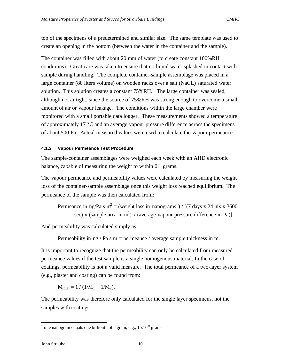top of the specimens of a predetermined and similar size. The same template was used to create an opening in the bottom (between the water in the container and the sample).

The container was filled with about 20 mm of water (to create constant 100%RH conditions). Great care was taken to ensure that no liquid water splashed in contact with sample during handling. The complete container-sample assemblage was placed in a large container (80 liters volume) on wooden racks over a salt (NaCL) saturated water solution. This solution creates a constant 75%RH. The large container was sealed, although not airtight, since the source of 75%RH was strong enough to overcome a small amount of air or vapour leakage. The conditions within the large chamber were monitored with a small portable data logger. These measurements showed a temperature of approximately 17 °C and an average vapour pressure difference across the specimens of about 500 Pa. Actual measured values were used to calculate the vapour permeance.

#### **4.1.3 Vapour Permeance Test Procedure**

The sample-container assemblages were weighed each week with an AHD electronic balance, capable of measuring the weight to within 0.1 grams.

The vapour permeance and permeability values were calculated by measuring the weight loss of the container-sample assemblage once this weight loss reached equilibrium. The permeance of the sample was then calculated from:

Permeance in ng/Pa s m<sup>2</sup> = (weight loss in nanograms<sup>†</sup>) / [(7 days x 24 hrs x 3600 sec) x (sample area in  $m^2$ ) x (average vapour pressure difference in Pa)].

And permeability was calculated simply as:

Permeability in ng / Pa s  $m =$  permeance / average sample thickness in m.

It is important to recognize that the permeability can only be calculated from measured permeance values if the test sample is a single homogenous material. In the case of coatings, permeability is not a valid measure. The total permeance of a two-layer system (e.g., plaster and coating) can be found from:

 $M_{\text{total}} = 1 / (1/M_1 + 1/M_2).$ 

The permeability was therefore only calculated for the single layer specimens, not the samples with coatings.

l

<sup>&</sup>lt;sup>†</sup> one nanogram equals one billionth of a gram, e.g., 1  $x10^9$  grams.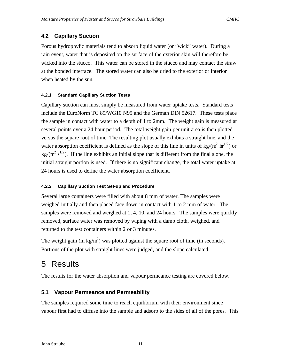## **4.2 Capillary Suction**

Porous hydrophylic materials tend to absorb liquid water (or "wick" water). During a rain event, water that is deposited on the surface of the exterior skin will therefore be wicked into the stucco. This water can be stored in the stucco and may contact the straw at the bonded interface. The stored water can also be dried to the exterior or interior when heated by the sun.

## **4.2.1 Standard Capillary Suction Tests**

Capillary suction can most simply be measured from water uptake tests. Standard tests include the EuroNorm TC 89/WG10 N95 and the German DIN 52617. These tests place the sample in contact with water to a depth of 1 to 2mm. The weight gain is measured at several points over a 24 hour period. The total weight gain per unit area is then plotted versus the square root of time. The resulting plot usually exhibits a straight line, and the water absorption coefficient is defined as the slope of this line in units of kg/( $m^2$   $hr^{1/2}$ ) or  $\text{kg/(m}^2 \text{ s}^{1/2})$ . If the line exhibits an initial slope that is different from the final slope, the initial straight portion is used. If there is no significant change, the total water uptake at 24 hours is used to define the water absorption coefficient.

## **4.2.2 Capillary Suction Test Set-up and Procedure**

Several large containers were filled with about 8 mm of water. The samples were weighed initially and then placed face down in contact with 1 to 2 mm of water. The samples were removed and weighed at 1, 4, 10, and 24 hours. The samples were quickly removed, surface water was removed by wiping with a damp cloth, weighed, and returned to the test containers within 2 or 3 minutes.

The weight gain (in kg/m<sup>2</sup>) was plotted against the square root of time (in seconds). Portions of the plot with straight lines were judged, and the slope calculated.

## 5 Results

The results for the water absorption and vapour permeance testing are covered below.

## **5.1 Vapour Permeance and Permeability**

The samples required some time to reach equilibrium with their environment since vapour first had to diffuse into the sample and adsorb to the sides of all of the pores. This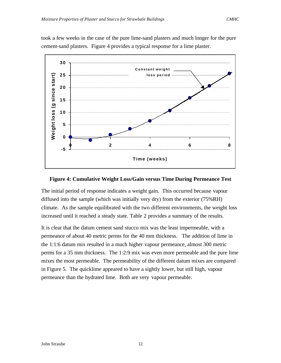

took a few weeks in the case of the pure lime-sand plasters and much longer for the pure cement-sand plasters. Figure 4 provides a typical response for a lime plaster.

#### **Figure 4: Cumulative Weight Loss/Gain versus Time During Permeance Test**

The initial period of response indicates a weight gain. This occurred because vapour diffused into the sample (which was initially very dry) from the exterior (75%RH) climate. As the sample equilibrated with the two different environments, the weight loss increased until it reached a steady state. Table 2 provides a summary of the results.

It is clear that the datum cement sand stucco mix was the least impermeable, with a permeance of about 40 metric perms for the 40 mm thickness. The addition of lime in the 1:1:6 datum mix resulted in a much higher vapour permeance, almost 300 metric perms for a 35 mm thickness. The 1:2:9 mix was even more permeable and the pure lime mixes the most permeable. The permeability of the different datum mixes are compared in Figure 5. The quicklime appeared to have a sightly lower, but still high, vapour permeance than the hydrated lime. Both are very vapour permeable.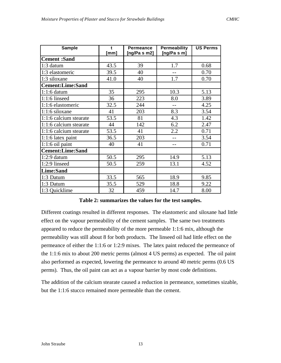| <b>Sample</b>           | $\mathbf t$<br><b>Permeance</b><br>[ng/Pa s m2]<br>[mm] |     | <b>Permeability</b><br>[ng/Pa s m] | <b>US Perms</b> |
|-------------------------|---------------------------------------------------------|-----|------------------------------------|-----------------|
| <b>Cement</b> :Sand     |                                                         |     |                                    |                 |
| 1:3 datum               | 43.5                                                    | 39  | 1.7                                | 0.68            |
| 1:3 elastomeric         | 39.5                                                    | 40  |                                    | 0.70            |
| 1:3 siloxane            | 41.0                                                    | 40  | 1.7                                | 0.70            |
| <b>Cement:Lime:Sand</b> |                                                         |     |                                    |                 |
| $1:1:6$ datum           | 35                                                      | 295 | 10.3                               | 5.13            |
| 1:1:6 linseed           | 36                                                      | 223 | 8.0                                | 3.89            |
| 1:1:6 elastomeric       | 32.5                                                    | 244 | $-$                                | 4.25            |
| $1:1:6$ siloxane        | 41                                                      | 203 | 8.3                                | 3.54            |
| 1:1:6 calcium stearate  | 53.5                                                    | 81  | 4.3                                | 1.42            |
| 1:1:6 calcium stearate  | 44                                                      | 142 | 6.2                                | 2.47            |
| 1:1:6 calcium stearate  | 53.5                                                    | 41  | 2.2                                | 0.71            |
| 1:1:6 latex paint       | 36.5                                                    | 203 |                                    | 3.54            |
| $1:1:6$ oil paint       | 40                                                      | 41  |                                    | 0.71            |
| <b>Cement:Lime:Sand</b> |                                                         |     |                                    |                 |
| $1:2:9$ datum           | 50.5                                                    | 295 | 14.9                               | 5.13            |
| 1:2:9 linseed           | 50.5                                                    | 259 | 13.1                               | 4.52            |
| <b>Lime:Sand</b>        |                                                         |     |                                    |                 |
| 1:3 Datum               | 33.5                                                    | 565 | 18.9                               | 9.85            |
| 1:3 Datum               | 35.5                                                    | 529 | 18.8                               | 9.22            |
| 1:3 Quicklime           | 32                                                      | 459 | 14.7                               | 8.00            |

**Table 2: summarizes the values for the test samples.**

Different coatings resulted in different responses. The elastomeric and siloxane had little effect on the vapour permeability of the cement samples. The same two treatments appeared to reduce the permeability of the more permeable 1:1:6 mix, although the permeability was still about 8 for both products. The linseed oil had little effect on the permeance of either the 1:1:6 or 1:2:9 mixes. The latex paint reduced the permeance of the 1:1:6 mix to about 200 metric perms (almost 4 US perms) as expected. The oil paint also performed as expected, lowering the permeance to around 40 metric perms (0.6 US perms). Thus, the oil paint can act as a vapour barrier by most code definitions.

The addition of the calcium stearate caused a reduction in permeance, sometimes sizable, but the 1:1:6 stucco remained more permeable than the cement.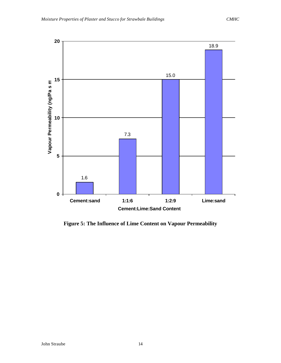

**Figure 5: The Influence of Lime Content on Vapour Permeability**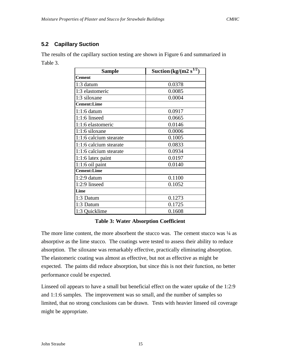## **5.2 Capillary Suction**

The results of the capillary suction testing are shown in Figure 6 and summarized in Table 3.

| <b>Sample</b>          | Suction (kg/(m2 s <sup>1/2</sup> ) |  |  |
|------------------------|------------------------------------|--|--|
| <b>Cement</b>          |                                    |  |  |
| 1:3 datum              | 0.0378                             |  |  |
| 1:3 elastomeric        | 0.0085                             |  |  |
| 1:3 siloxane           | 0.0004                             |  |  |
| <b>Cement:Lime</b>     |                                    |  |  |
| $1:1:6$ datum          | 0.0917                             |  |  |
| $1:1:6$ linseed        | 0.0665                             |  |  |
| 1:1:6 elastomeric      | 0.0146                             |  |  |
| 1:1:6 siloxane         | 0.0006                             |  |  |
| 1:1:6 calcium stearate | 0.1005                             |  |  |
| 1:1:6 calcium stearate | 0.0833                             |  |  |
| 1:1:6 calcium stearate | 0.0934                             |  |  |
| 1:1:6 latex paint      | 0.0197                             |  |  |
| $1:1:6$ oil paint      | 0.0140                             |  |  |
| <b>Cement:Lime</b>     |                                    |  |  |
| $1:2:9$ datum          | 0.1100                             |  |  |
| 1:2:9 linseed          | 0.1052                             |  |  |
| Lime                   |                                    |  |  |
| 1:3 Datum              | 0.1273                             |  |  |
| 1:3 Datum              | 0.1725                             |  |  |
| 1:3 Quicklime          | 0.1608                             |  |  |

## **Table 3: Water Absorption Coefficient**

The more lime content, the more absorbent the stucco was. The cement stucco was  $\frac{1}{4}$  as absorptive as the lime stucco. The coatings were tested to assess their ability to reduce absorption. The siloxane was remarkably effective, practically eliminating absorption. The elastomeric coating was almost as effective, but not as effective as might be expected. The paints did reduce absorption, but since this is not their function, no better performance could be expected.

Linseed oil appears to have a small but beneficial effect on the water uptake of the 1:2:9 and 1:1:6 samples. The improvement was so small, and the number of samples so limited, that no strong conclusions can be drawn. Tests with heavier linseed oil coverage might be appropriate.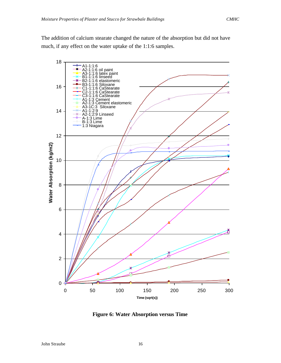The addition of calcium stearate changed the nature of the absorption but did not have much, if any effect on the water uptake of the 1:1:6 samples.



**Figure 6: Water Absorption versus Time**